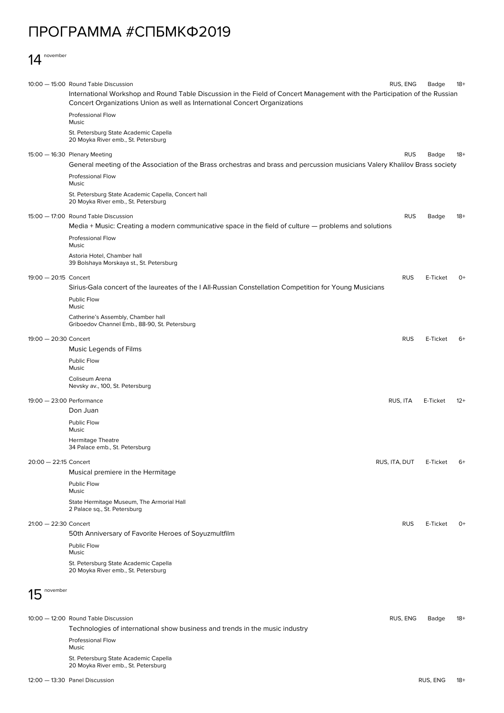## ПРОГРАММА #СПБМКФ2019

## 14 november

|                           | 10:00 - 15:00 Round Table Discussion                                                                                                                                                                     | RUS, ENG      | Badge    | 18+   |  |
|---------------------------|----------------------------------------------------------------------------------------------------------------------------------------------------------------------------------------------------------|---------------|----------|-------|--|
|                           | International Workshop and Round Table Discussion in the Field of Concert Management with the Participation of the Russian<br>Concert Organizations Union as well as International Concert Organizations |               |          |       |  |
|                           | <b>Professional Flow</b><br>Music                                                                                                                                                                        |               |          |       |  |
|                           | St. Petersburg State Academic Capella<br>20 Moyka River emb., St. Petersburg                                                                                                                             |               |          |       |  |
|                           | 15:00 - 16:30 Plenary Meeting<br>General meeting of the Association of the Brass orchestras and brass and percussion musicians Valery Khalilov Brass society                                             | <b>RUS</b>    | Badge    | 18+   |  |
|                           | <b>Professional Flow</b><br>Music                                                                                                                                                                        |               |          |       |  |
|                           | St. Petersburg State Academic Capella, Concert hall<br>20 Moyka River emb., St. Petersburg                                                                                                               |               |          |       |  |
|                           | 15:00 - 17:00 Round Table Discussion                                                                                                                                                                     | <b>RUS</b>    | Badge    | 18+   |  |
|                           | Media + Music: Creating a modern communicative space in the field of culture — problems and solutions<br><b>Professional Flow</b>                                                                        |               |          |       |  |
|                           | Music<br>Astoria Hotel, Chamber hall<br>39 Bolshaya Morskaya st., St. Petersburg                                                                                                                         |               |          |       |  |
| 19:00 - 20:15 Concert     |                                                                                                                                                                                                          | <b>RUS</b>    | E-Ticket | 0+    |  |
|                           | Sirius-Gala concert of the laureates of the I All-Russian Constellation Competition for Young Musicians                                                                                                  |               |          |       |  |
|                           | <b>Public Flow</b><br>Music                                                                                                                                                                              |               |          |       |  |
|                           | Catherine's Assembly, Chamber hall<br>Griboedov Channel Emb., 88-90, St. Petersburg                                                                                                                      |               |          |       |  |
| 19:00 - 20:30 Concert     |                                                                                                                                                                                                          | <b>RUS</b>    | E-Ticket | 6+    |  |
|                           | Music Legends of Films                                                                                                                                                                                   |               |          |       |  |
|                           | <b>Public Flow</b><br>Music                                                                                                                                                                              |               |          |       |  |
|                           | Coliseum Arena<br>Nevsky av., 100, St. Petersburg                                                                                                                                                        |               |          |       |  |
| 19:00 - 23:00 Performance |                                                                                                                                                                                                          | RUS, ITA      | E-Ticket | $12+$ |  |
|                           | Don Juan                                                                                                                                                                                                 |               |          |       |  |
|                           | <b>Public Flow</b><br>Music                                                                                                                                                                              |               |          |       |  |
|                           | <b>Hermitage Theatre</b><br>34 Palace emb., St. Petersburg                                                                                                                                               |               |          |       |  |
| 20:00 - 22:15 Concert     |                                                                                                                                                                                                          | RUS, ITA, DUT | E-Ticket | $6+$  |  |
|                           | Musical premiere in the Hermitage                                                                                                                                                                        |               |          |       |  |
|                           | Public Flow<br>Music                                                                                                                                                                                     |               |          |       |  |
|                           | State Hermitage Museum, The Armorial Hall<br>2 Palace sq., St. Petersburg                                                                                                                                |               |          |       |  |
| $21:00 - 22:30$ Concert   |                                                                                                                                                                                                          | <b>RUS</b>    | E-Ticket | 0+    |  |
|                           | 50th Anniversary of Favorite Heroes of Soyuzmultfilm                                                                                                                                                     |               |          |       |  |
|                           | Public Flow<br>Music                                                                                                                                                                                     |               |          |       |  |
|                           | St. Petersburg State Academic Capella<br>20 Moyka River emb., St. Petersburg                                                                                                                             |               |          |       |  |
| november                  |                                                                                                                                                                                                          |               |          |       |  |
|                           | 10:00 - 12:00 Round Table Discussion                                                                                                                                                                     | RUS, ENG      | Badge    | $18+$ |  |
|                           | Technologies of international show business and trends in the music industry                                                                                                                             |               |          |       |  |
|                           | <b>Professional Flow</b><br>Music                                                                                                                                                                        |               |          |       |  |
|                           | St. Petersburg State Academic Capella                                                                                                                                                                    |               |          |       |  |

12:00 — 13:30

20 Moyka River emb., St. Petersburg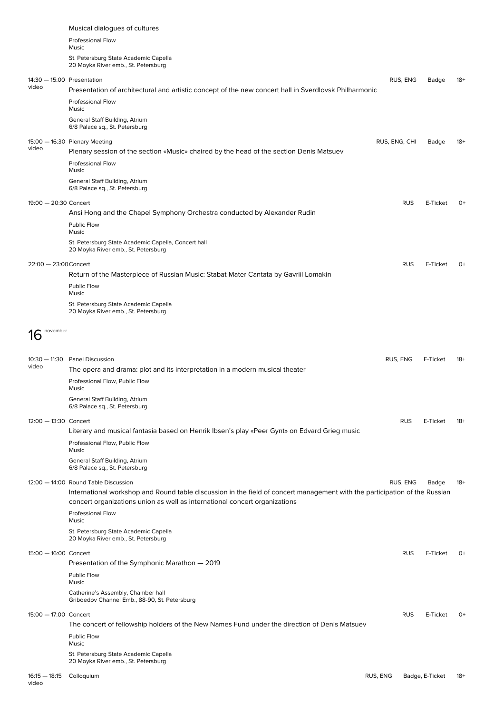|                                     | Musical dialogues of cultures                                                                                                                                                                            |               |            |                 |       |
|-------------------------------------|----------------------------------------------------------------------------------------------------------------------------------------------------------------------------------------------------------|---------------|------------|-----------------|-------|
|                                     | Professional Flow<br>Music                                                                                                                                                                               |               |            |                 |       |
|                                     | St. Petersburg State Academic Capella<br>20 Moyka River emb., St. Petersburg                                                                                                                             |               |            |                 |       |
| 14:30 - 15:00 Presentation<br>video | Presentation of architectural and artistic concept of the new concert hall in Sverdlovsk Philharmonic                                                                                                    | RUS, ENG      |            | Badge           | $18+$ |
|                                     | <b>Professional Flow</b><br>Music                                                                                                                                                                        |               |            |                 |       |
|                                     | General Staff Building, Atrium<br>6/8 Palace sq., St. Petersburg                                                                                                                                         |               |            |                 |       |
| video                               | 15:00 - 16:30 Plenary Meeting<br>Plenary session of the section «Music» chaired by the head of the section Denis Matsuev                                                                                 | RUS, ENG, CHI |            | Badge           | $18+$ |
|                                     | <b>Professional Flow</b><br>Music                                                                                                                                                                        |               |            |                 |       |
|                                     | General Staff Building, Atrium<br>6/8 Palace sq., St. Petersburg                                                                                                                                         |               |            |                 |       |
| 19:00 - 20:30 Concert               | Ansi Hong and the Chapel Symphony Orchestra conducted by Alexander Rudin                                                                                                                                 |               | <b>RUS</b> | E-Ticket        | $O+$  |
|                                     | Public Flow<br>Music                                                                                                                                                                                     |               |            |                 |       |
|                                     | St. Petersburg State Academic Capella, Concert hall<br>20 Moyka River emb., St. Petersburg                                                                                                               |               |            |                 |       |
| 22:00 - 23:00 Concert               |                                                                                                                                                                                                          |               | <b>RUS</b> | E-Ticket        | $O+$  |
|                                     | Return of the Masterpiece of Russian Music: Stabat Mater Cantata by Gavriil Lomakin<br>Public Flow                                                                                                       |               |            |                 |       |
|                                     | Music<br>St. Petersburg State Academic Capella                                                                                                                                                           |               |            |                 |       |
|                                     | 20 Moyka River emb., St. Petersburg                                                                                                                                                                      |               |            |                 |       |
| november<br>16                      |                                                                                                                                                                                                          |               |            |                 |       |
| video                               | 10:30 - 11:30 Panel Discussion                                                                                                                                                                           | RUS, ENG      |            | E-Ticket        | $18+$ |
|                                     | The opera and drama: plot and its interpretation in a modern musical theater<br>Professional Flow, Public Flow<br>Music                                                                                  |               |            |                 |       |
|                                     | General Staff Building, Atrium<br>6/8 Palace sq., St. Petersburg                                                                                                                                         |               |            |                 |       |
| 12:00 - 13:30 Concert               | Literary and musical fantasia based on Henrik Ibsen's play «Peer Gynt» on Edvard Grieg music                                                                                                             |               | <b>RUS</b> | E-Ticket        | $18+$ |
|                                     | Professional Flow, Public Flow<br>Music                                                                                                                                                                  |               |            |                 |       |
|                                     | General Staff Building, Atrium<br>6/8 Palace sq., St. Petersburg                                                                                                                                         |               |            |                 |       |
|                                     | 12:00 - 14:00 Round Table Discussion                                                                                                                                                                     | RUS, ENG      |            | Badge           | -18   |
|                                     | International workshop and Round table discussion in the field of concert management with the participation of the Russian<br>concert organizations union as well as international concert organizations |               |            |                 |       |
|                                     | <b>Professional Flow</b><br>Music                                                                                                                                                                        |               |            |                 |       |
|                                     | St. Petersburg State Academic Capella<br>20 Moyka River emb., St. Petersburg                                                                                                                             |               |            |                 |       |
| 15:00 - 16:00 Concert               | Presentation of the Symphonic Marathon - 2019                                                                                                                                                            |               | <b>RUS</b> | E-Ticket        | $0+$  |
|                                     | Public Flow<br>Music                                                                                                                                                                                     |               |            |                 |       |
|                                     | Catherine's Assembly, Chamber hall<br>Griboedov Channel Emb., 88-90, St. Petersburg                                                                                                                      |               |            |                 |       |
| 15:00 - 17:00 Concert               | The concert of fellowship holders of the New Names Fund under the direction of Denis Matsuev                                                                                                             |               | <b>RUS</b> | E-Ticket        | 0+    |
|                                     | Public Flow<br>Music                                                                                                                                                                                     |               |            |                 |       |
|                                     | St. Petersburg State Academic Capella<br>20 Moyka River emb., St. Petersburg                                                                                                                             |               |            |                 |       |
| $16:15 - 18:15$                     | Colloquium                                                                                                                                                                                               | RUS, ENG      |            | Badge, E-Ticket | 18+   |

video